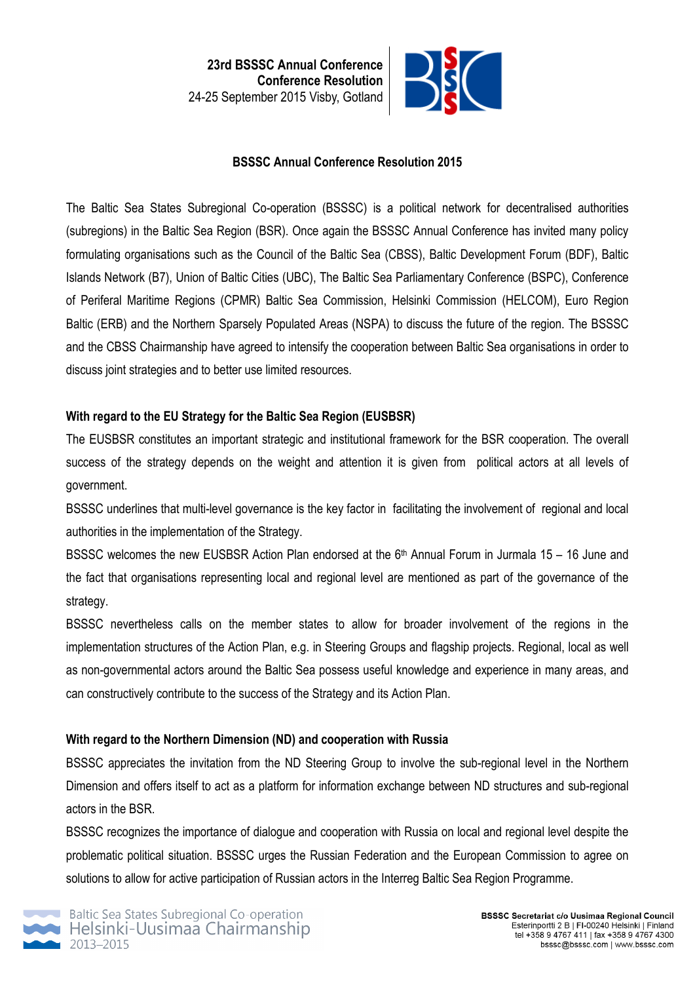**23rd BSSSC Annual Conference Conference Resolution** 24-25 September 2015 Visby, Gotland



### **BSSSC Annual Conference Resolution 2015**

The Baltic Sea States Subregional Co-operation (BSSSC) is a political network for decentralised authorities (subregions) in the Baltic Sea Region (BSR). Once again the BSSSC Annual Conference has invited many policy formulating organisations such as the Council of the Baltic Sea (CBSS), Baltic Development Forum (BDF), Baltic Islands Network (B7), Union of Baltic Cities (UBC), The Baltic Sea Parliamentary Conference (BSPC), Conference of Periferal Maritime Regions (CPMR) Baltic Sea Commission, Helsinki Commission (HELCOM), Euro Region Baltic (ERB) and the Northern Sparsely Populated Areas (NSPA) to discuss the future of the region. The BSSSC and the CBSS Chairmanship have agreed to intensify the cooperation between Baltic Sea organisations in order to discuss joint strategies and to better use limited resources.

### **With regard to the EU Strategy for the Baltic Sea Region (EUSBSR)**

The EUSBSR constitutes an important strategic and institutional framework for the BSR cooperation. The overall success of the strategy depends on the weight and attention it is given from political actors at all levels of government.

BSSSC underlines that multi-level governance is the key factor in facilitating the involvement of regional and local authorities in the implementation of the Strategy.

BSSSC welcomes the new EUSBSR Action Plan endorsed at the 6<sup>th</sup> Annual Forum in Jurmala 15 – 16 June and the fact that organisations representing local and regional level are mentioned as part of the governance of the strategy.

BSSSC nevertheless calls on the member states to allow for broader involvement of the regions in the implementation structures of the Action Plan, e.g. in Steering Groups and flagship projects. Regional, local as well as non-governmental actors around the Baltic Sea possess useful knowledge and experience in many areas, and can constructively contribute to the success of the Strategy and its Action Plan.

### **With regard to the Northern Dimension (ND) and cooperation with Russia**

BSSSC appreciates the invitation from the ND Steering Group to involve the sub-regional level in the Northern Dimension and offers itself to act as a platform for information exchange between ND structures and sub-regional actors in the BSR.

BSSSC recognizes the importance of dialogue and cooperation with Russia on local and regional level despite the problematic political situation. BSSSC urges the Russian Federation and the European Commission to agree on solutions to allow for active participation of Russian actors in the Interreg Baltic Sea Region Programme.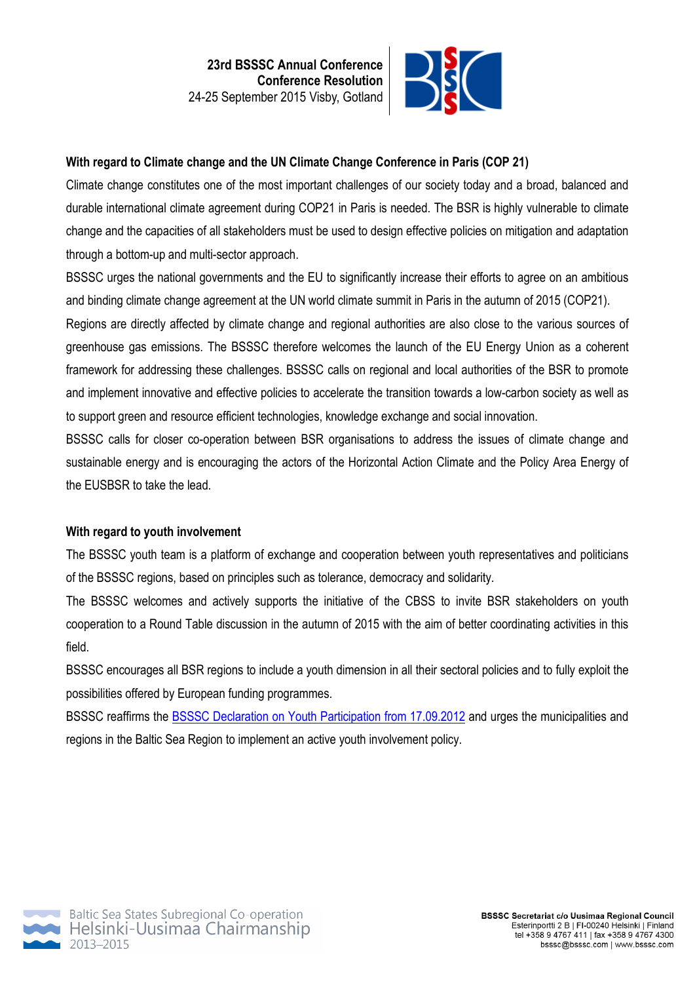

## **With regard to Climate change and the UN Climate Change Conference in Paris (COP 21)**

Climate change constitutes one of the most important challenges of our society today and a broad, balanced and durable international climate agreement during COP21 in Paris is needed. The BSR is highly vulnerable to climate change and the capacities of all stakeholders must be used to design effective policies on mitigation and adaptation through a bottom-up and multi-sector approach.

BSSSC urges the national governments and the EU to significantly increase their efforts to agree on an ambitious and binding climate change agreement at the UN world climate summit in Paris in the autumn of 2015 (COP21).

Regions are directly affected by climate change and regional authorities are also close to the various sources of greenhouse gas emissions. The BSSSC therefore welcomes the launch of the EU Energy Union as a coherent framework for addressing these challenges. BSSSC calls on regional and local authorities of the BSR to promote and implement innovative and effective policies to accelerate the transition towards a low-carbon society as well as to support green and resource efficient technologies, knowledge exchange and social innovation.

BSSSC calls for closer co-operation between BSR organisations to address the issues of climate change and sustainable energy and is encouraging the actors of the Horizontal Action Climate and the Policy Area Energy of the EUSBSR to take the lead.

### **With regard to youth involvement**

The BSSSC youth team is a platform of exchange and cooperation between youth representatives and politicians of the BSSSC regions, based on principles such as tolerance, democracy and solidarity.

The BSSSC welcomes and actively supports the initiative of the CBSS to invite BSR stakeholders on youth cooperation to a Round Table discussion in the autumn of 2015 with the aim of better coordinating activities in this field.

BSSSC encourages all BSR regions to include a youth dimension in all their sectoral policies and to fully exploit the possibilities offered by European funding programmes.

BSSSC reaffirms the BSSSC Declaration on Youth Participation from 17.09.2012 and urges the municipalities and regions in the Baltic Sea Region to implement an active youth involvement policy.

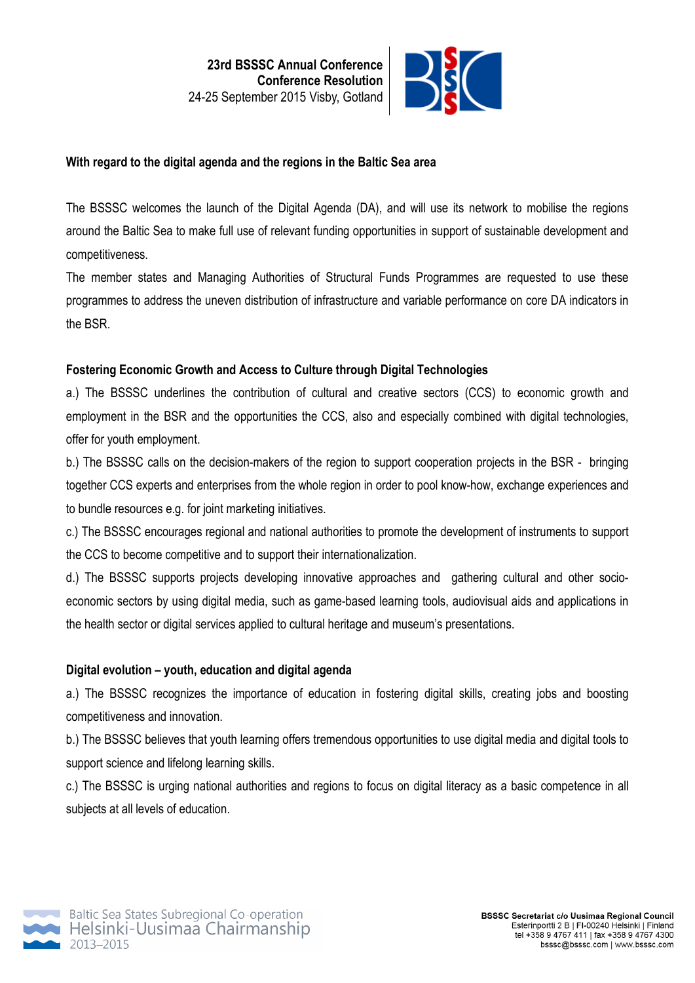

### **With regard to the digital agenda and the regions in the Baltic Sea area**

The BSSSC welcomes the launch of the Digital Agenda (DA), and will use its network to mobilise the regions around the Baltic Sea to make full use of relevant funding opportunities in support of sustainable development and competitiveness.

The member states and Managing Authorities of Structural Funds Programmes are requested to use these programmes to address the uneven distribution of infrastructure and variable performance on core DA indicators in the BSR.

### **Fostering Economic Growth and Access to Culture through Digital Technologies**

a.) The BSSSC underlines the contribution of cultural and creative sectors (CCS) to economic growth and employment in the BSR and the opportunities the CCS, also and especially combined with digital technologies, offer for youth employment.

b.) The BSSSC calls on the decision-makers of the region to support cooperation projects in the BSR - bringing together CCS experts and enterprises from the whole region in order to pool know-how, exchange experiences and to bundle resources e.g. for joint marketing initiatives.

c.) The BSSSC encourages regional and national authorities to promote the development of instruments to support the CCS to become competitive and to support their internationalization.

d.) The BSSSC supports projects developing innovative approaches and gathering cultural and other socioeconomic sectors by using digital media, such as game-based learning tools, audiovisual aids and applications in the health sector or digital services applied to cultural heritage and museum's presentations.

#### **Digital evolution – youth, education and digital agenda**

a.) The BSSSC recognizes the importance of education in fostering digital skills, creating jobs and boosting competitiveness and innovation.

b.) The BSSSC believes that youth learning offers tremendous opportunities to use digital media and digital tools to support science and lifelong learning skills.

c.) The BSSSC is urging national authorities and regions to focus on digital literacy as a basic competence in all subjects at all levels of education.